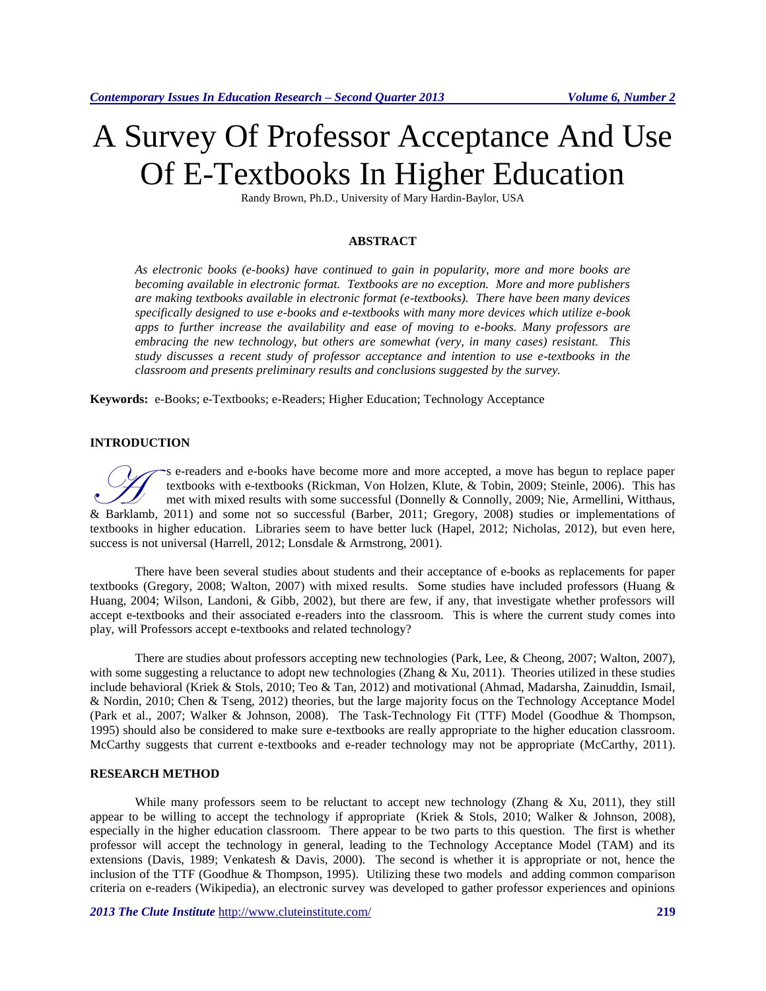# A Survey Of Professor Acceptance And Use Of E-Textbooks In Higher Education

Randy Brown, Ph.D., University of Mary Hardin-Baylor, USA

## **ABSTRACT**

*As electronic books (e-books) have continued to gain in popularity, more and more books are becoming available in electronic format. Textbooks are no exception. More and more publishers are making textbooks available in electronic format (e-textbooks). There have been many devices specifically designed to use e-books and e-textbooks with many more devices which utilize e-book apps to further increase the availability and ease of moving to e-books. Many professors are embracing the new technology, but others are somewhat (very, in many cases) resistant. This study discusses a recent study of professor acceptance and intention to use e-textbooks in the classroom and presents preliminary results and conclusions suggested by the survey.*

**Keywords:** e-Books; e-Textbooks; e-Readers; Higher Education; Technology Acceptance

#### **INTRODUCTION**

s e-readers and e-books have become more and more accepted, a move has begun to replace paper textbooks with e-textbooks [\(Rickman, Von Holzen, Klute, & Tobin, 2009;](#page-2-0) [Steinle, 2006\)](#page-2-1). This has met with mixed results with some successful [\(Donnelly & Connolly,](#page-1-0) 2009[; Nie, Armellini, Witthaus,](#page-2-2)  Some extbooks with e-textbooks (Rickman, Von Holzen, Klute, & Tobin, 2009; Steinle, 2006). This has met with mixed results with some successful (Donnelly & Connolly, 2009; Nie, Armellini, Withaus, [& Barklamb, 2011\)](#page-2-2) and som textbooks in higher education. Libraries seem to have better luck [\(Hapel, 2012;](#page-2-4) [Nicholas, 2012\)](#page-2-5), but even here, success is not universal [\(Harrell, 2012;](#page-2-6) [Lonsdale & Armstrong, 2001\)](#page-2-7).

There have been several studies about students and their acceptance of e-books as replacements for paper textbooks [\(Gregory, 2008;](#page-2-3) [Walton, 2007\)](#page-2-8) with mixed results. Some studies have included professors [\(Huang &](#page-2-9)  [Huang, 2004;](#page-2-9) [Wilson, Landoni, & Gibb, 2002\)](#page-2-10), but there are few, if any, that investigate whether professors will accept e-textbooks and their associated e-readers into the classroom. This is where the current study comes into play, will Professors accept e-textbooks and related technology?

There are studies about professors accepting new technologies [\(Park, Lee, & Cheong, 2007;](#page-2-11) [Walton, 2007\)](#page-2-8), with some suggesting a reluctance to adopt new technologies (Zhang  $\&$  Xu, 2011). Theories utilized in these studies include behavioral [\(Kriek & Stols, 2010;](#page-2-13) [Teo & Tan, 2012\)](#page-2-14) and motivational [\(Ahmad, Madarsha, Zainuddin, Ismail,](#page-1-2)  [& Nordin, 2010;](#page-1-2) [Chen & Tseng, 2012\)](#page-1-3) theories, but the large majority focus on the Technology Acceptance Model [\(Park et al., 2007;](#page-2-11) [Walker & Johnson, 2008\)](#page-2-15). The Task-Technology Fit (TTF) Model [\(Goodhue & Thompson,](#page-1-4)  [1995\)](#page-1-4) should also be considered to make sure e-textbooks are really appropriate to the higher education classroom. McCarthy suggests that current e-textbooks and e-reader technology may not be appropriate [\(McCarthy, 2011\)](#page-2-16).

#### **RESEARCH METHOD**

While many professors seem to be reluctant to accept new technology (Zhang  $& Xu, 2011$ ), they still appear to be willing to accept the technology if appropriate [\(Kriek & Stols, 2010;](#page-2-13) [Walker & Johnson, 2008\)](#page-2-15), especially in the higher education classroom. There appear to be two parts to this question. The first is whether professor will accept the technology in general, leading to the Technology Acceptance Model (TAM) and its extensions [\(Davis, 1989;](#page-1-5) [Venkatesh & Davis, 2000\)](#page-2-17). The second is whether it is appropriate or not, hence the inclusion of the TTF [\(Goodhue & Thompson, 1995\)](#page-1-4). Utilizing these two models and adding common comparison criteria on e-readers [\(Wikipedia\)](#page-2-18), an electronic survey was developed to gather professor experiences and opinions

*2013 The Clute Institute* <http://www.cluteinstitute.com/> **219**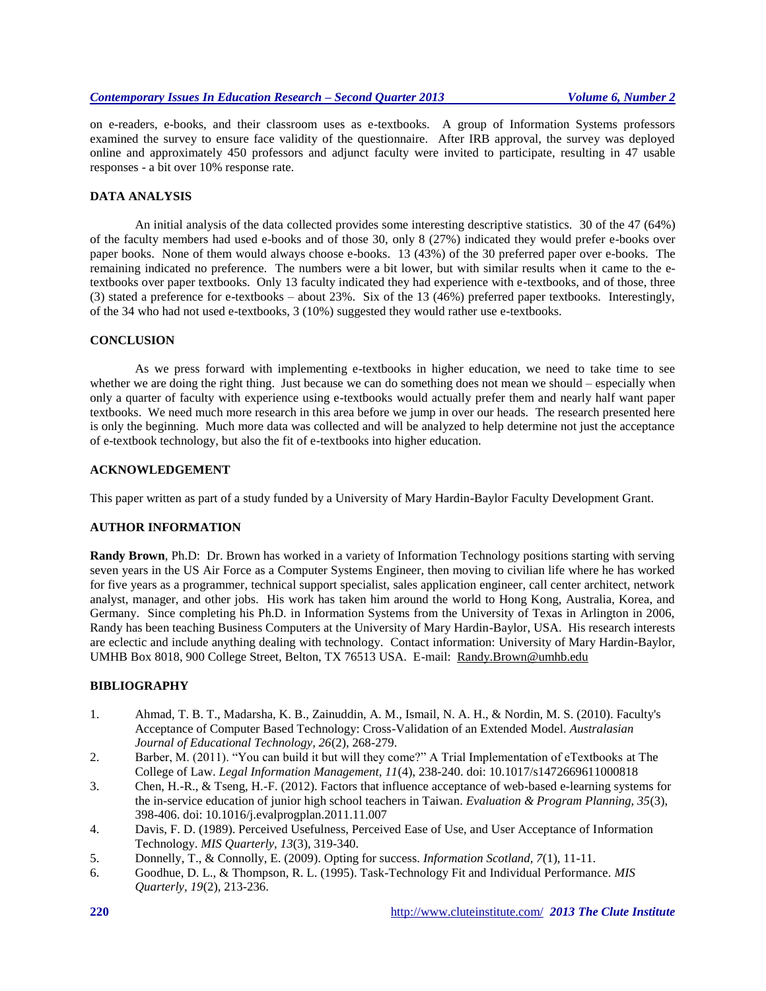on e-readers, e-books, and their classroom uses as e-textbooks. A group of Information Systems professors examined the survey to ensure face validity of the questionnaire. After IRB approval, the survey was deployed online and approximately 450 professors and adjunct faculty were invited to participate, resulting in 47 usable responses - a bit over 10% response rate.

## **DATA ANALYSIS**

An initial analysis of the data collected provides some interesting descriptive statistics. 30 of the 47 (64%) of the faculty members had used e-books and of those 30, only 8 (27%) indicated they would prefer e-books over paper books. None of them would always choose e-books. 13 (43%) of the 30 preferred paper over e-books. The remaining indicated no preference. The numbers were a bit lower, but with similar results when it came to the etextbooks over paper textbooks. Only 13 faculty indicated they had experience with e-textbooks, and of those, three (3) stated a preference for e-textbooks – about 23%. Six of the 13 (46%) preferred paper textbooks. Interestingly, of the 34 who had not used e-textbooks, 3 (10%) suggested they would rather use e-textbooks.

#### **CONCLUSION**

As we press forward with implementing e-textbooks in higher education, we need to take time to see whether we are doing the right thing. Just because we can do something does not mean we should – especially when only a quarter of faculty with experience using e-textbooks would actually prefer them and nearly half want paper textbooks. We need much more research in this area before we jump in over our heads. The research presented here is only the beginning. Much more data was collected and will be analyzed to help determine not just the acceptance of e-textbook technology, but also the fit of e-textbooks into higher education.

## **ACKNOWLEDGEMENT**

This paper written as part of a study funded by a University of Mary Hardin-Baylor Faculty Development Grant.

# **AUTHOR INFORMATION**

**Randy Brown**, Ph.D: Dr. Brown has worked in a variety of Information Technology positions starting with serving seven years in the US Air Force as a Computer Systems Engineer, then moving to civilian life where he has worked for five years as a programmer, technical support specialist, sales application engineer, call center architect, network analyst, manager, and other jobs. His work has taken him around the world to Hong Kong, Australia, Korea, and Germany. Since completing his Ph.D. in Information Systems from the University of Texas in Arlington in 2006, Randy has been teaching Business Computers at the University of Mary Hardin-Baylor, USA. His research interests are eclectic and include anything dealing with technology. Contact information: University of Mary Hardin-Baylor, UMHB Box 8018, 900 College Street, Belton, TX 76513 USA. E-mail: [Randy.Brown@umhb.edu](mailto:Randy.Brown@umhb.edu)

# **BIBLIOGRAPHY**

- <span id="page-1-2"></span>1. Ahmad, T. B. T., Madarsha, K. B., Zainuddin, A. M., Ismail, N. A. H., & Nordin, M. S. (2010). Faculty's Acceptance of Computer Based Technology: Cross-Validation of an Extended Model. *Australasian Journal of Educational Technology, 26*(2), 268-279.
- <span id="page-1-1"></span>2. Barber, M. (2011). "You can build it but will they come?" A Trial Implementation of eTextbooks at The College of Law. *Legal Information Management, 11*(4), 238-240. doi: 10.1017/s1472669611000818
- <span id="page-1-3"></span>3. Chen, H.-R., & Tseng, H.-F. (2012). Factors that influence acceptance of web-based e-learning systems for the in-service education of junior high school teachers in Taiwan. *Evaluation & Program Planning, 35*(3), 398-406. doi: 10.1016/j.evalprogplan.2011.11.007
- <span id="page-1-5"></span>4. Davis, F. D. (1989). Perceived Usefulness, Perceived Ease of Use, and User Acceptance of Information Technology. *MIS Quarterly, 13*(3), 319-340.
- <span id="page-1-0"></span>5. Donnelly, T., & Connolly, E. (2009). Opting for success. *Information Scotland, 7*(1), 11-11.
- <span id="page-1-4"></span>6. Goodhue, D. L., & Thompson, R. L. (1995). Task-Technology Fit and Individual Performance. *MIS Quarterly, 19*(2), 213-236.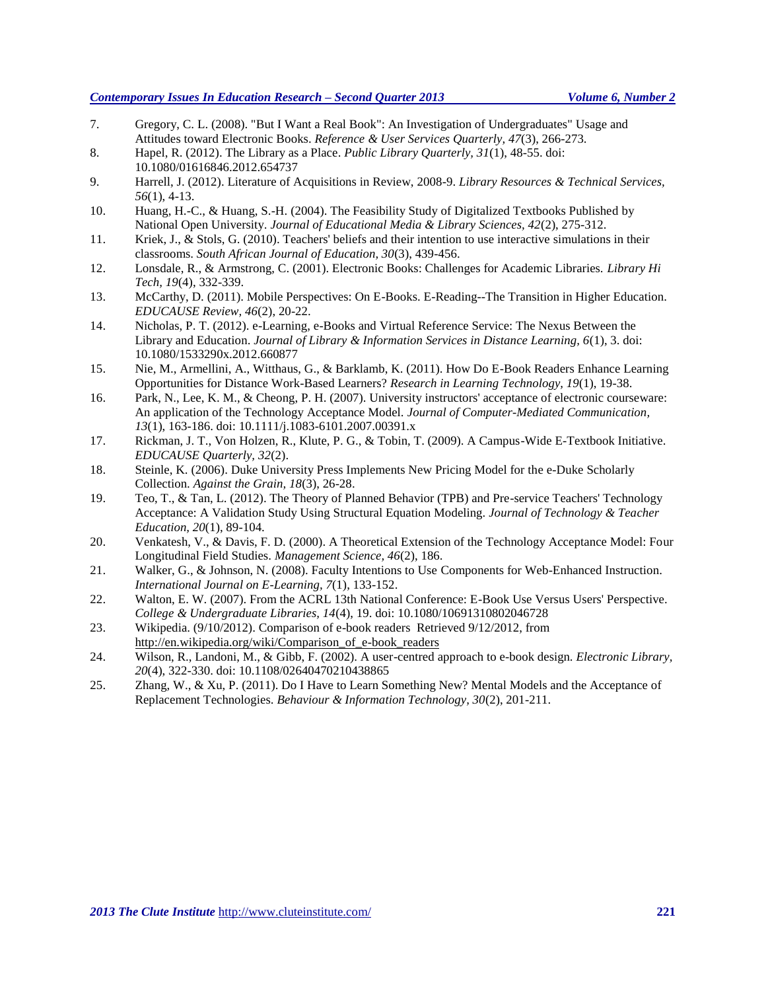## *Contemporary Issues In Education Research – Second Quarter 2013 Volume 6, Number 2*

- <span id="page-2-3"></span>7. Gregory, C. L. (2008). "But I Want a Real Book": An Investigation of Undergraduates" Usage and Attitudes toward Electronic Books. *Reference & User Services Quarterly, 47*(3), 266-273.
- <span id="page-2-4"></span>8. Hapel, R. (2012). The Library as a Place. *Public Library Quarterly, 31*(1), 48-55. doi: 10.1080/01616846.2012.654737
- <span id="page-2-6"></span>9. Harrell, J. (2012). Literature of Acquisitions in Review, 2008-9. *Library Resources & Technical Services, 56*(1), 4-13.
- <span id="page-2-9"></span>10. Huang, H.-C., & Huang, S.-H. (2004). The Feasibility Study of Digitalized Textbooks Published by National Open University. *Journal of Educational Media & Library Sciences, 42*(2), 275-312.
- <span id="page-2-13"></span>11. Kriek, J., & Stols, G. (2010). Teachers' beliefs and their intention to use interactive simulations in their classrooms. *South African Journal of Education, 30*(3), 439-456.
- <span id="page-2-7"></span>12. Lonsdale, R., & Armstrong, C. (2001). Electronic Books: Challenges for Academic Libraries. *Library Hi Tech, 19*(4), 332-339.
- <span id="page-2-16"></span>13. McCarthy, D. (2011). Mobile Perspectives: On E-Books. E-Reading--The Transition in Higher Education. *EDUCAUSE Review, 46*(2), 20-22.
- <span id="page-2-5"></span>14. Nicholas, P. T. (2012). e-Learning, e-Books and Virtual Reference Service: The Nexus Between the Library and Education. *Journal of Library & Information Services in Distance Learning, 6*(1), 3. doi: 10.1080/1533290x.2012.660877
- <span id="page-2-2"></span>15. Nie, M., Armellini, A., Witthaus, G., & Barklamb, K. (2011). How Do E-Book Readers Enhance Learning Opportunities for Distance Work-Based Learners? *Research in Learning Technology, 19*(1), 19-38.
- <span id="page-2-11"></span>16. Park, N., Lee, K. M., & Cheong, P. H. (2007). University instructors' acceptance of electronic courseware: An application of the Technology Acceptance Model. *Journal of Computer-Mediated Communication, 13*(1), 163-186. doi: 10.1111/j.1083-6101.2007.00391.x
- <span id="page-2-0"></span>17. Rickman, J. T., Von Holzen, R., Klute, P. G., & Tobin, T. (2009). A Campus-Wide E-Textbook Initiative. *EDUCAUSE Quarterly, 32*(2).
- <span id="page-2-1"></span>18. Steinle, K. (2006). Duke University Press Implements New Pricing Model for the e-Duke Scholarly Collection. *Against the Grain, 18*(3), 26-28.
- <span id="page-2-14"></span>19. Teo, T., & Tan, L. (2012). The Theory of Planned Behavior (TPB) and Pre-service Teachers' Technology Acceptance: A Validation Study Using Structural Equation Modeling. *Journal of Technology & Teacher Education, 20*(1), 89-104.
- <span id="page-2-17"></span>20. Venkatesh, V., & Davis, F. D. (2000). A Theoretical Extension of the Technology Acceptance Model: Four Longitudinal Field Studies. *Management Science, 46*(2), 186.
- <span id="page-2-15"></span>21. Walker, G., & Johnson, N. (2008). Faculty Intentions to Use Components for Web-Enhanced Instruction. *International Journal on E-Learning, 7*(1), 133-152.
- <span id="page-2-8"></span>22. Walton, E. W. (2007). From the ACRL 13th National Conference: E-Book Use Versus Users' Perspective. *College & Undergraduate Libraries, 14*(4), 19. doi: 10.1080/10691310802046728
- <span id="page-2-18"></span>23. Wikipedia. (9/10/2012). Comparison of e-book readers Retrieved 9/12/2012, from [http://en.wikipedia.org/wiki/Comparison\\_of\\_e-book\\_readers](http://en.wikipedia.org/wiki/Comparison_of_e-book_readers)
- <span id="page-2-10"></span>24. Wilson, R., Landoni, M., & Gibb, F. (2002). A user-centred approach to e-book design. *Electronic Library, 20*(4), 322-330. doi: 10.1108/02640470210438865
- <span id="page-2-12"></span>25. Zhang, W., & Xu, P. (2011). Do I Have to Learn Something New? Mental Models and the Acceptance of Replacement Technologies. *Behaviour & Information Technology, 30*(2), 201-211.